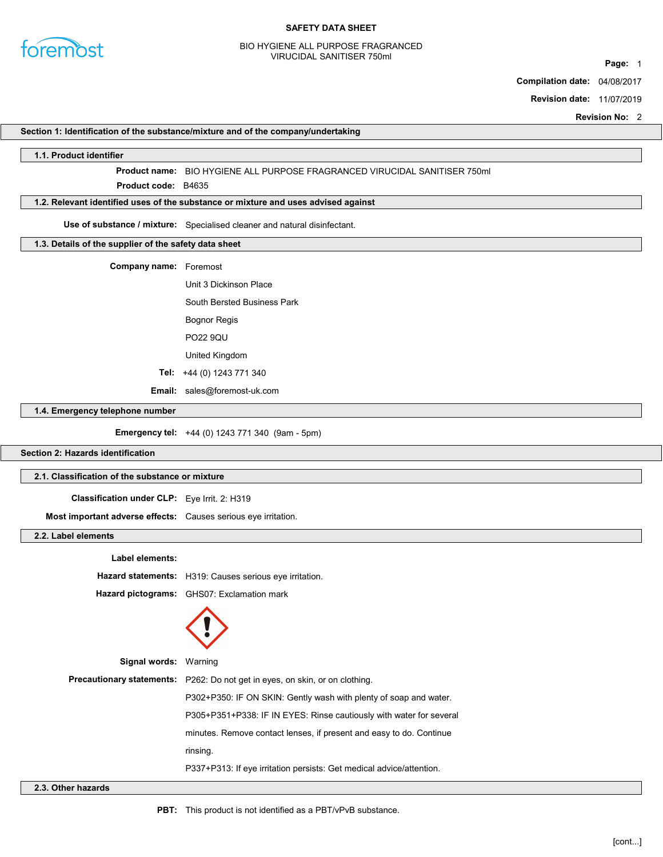

#### BIO HYGIENE ALL PURPOSE FRAGRANCED VIRUCIDAL SANITISER 750ml

Page: 1

Compilation date: 04/08/2017

Revision date: 11/07/2019

Revision No: 2

### Section 1: Identification of the substance/mixture and of the company/undertaking

#### 1.1. Product identifier

Product name: BIO HYGIENE ALL PURPOSE FRAGRANCED VIRUCIDAL SANITISER 750ml

Product **code**: B4635

### 1.2. Relevant identified uses of the substance or mixture and uses advised against

Use of substance / mixture: Specialised cleaner and natural disinfectant.

## 1.3. Details of the supplier of the safety data sheet

Company name: Foremost

Unit 3 Dickinson Place

South Bersted Business Park

Bognor Regis

PO22 9QU

United Kingdom

Tel: +44 (0) 1243 771 340

Email: sales@foremost-uk.com

## 1.4. Emergency telephone number

Emergency tel: +44 (0) 1243 771 340 (9am - 5pm)

### Section 2: Hazards identification

### 2.1. Classification of the substance or mixture

Classification under CLP: Eye Irrit. 2: H319

Most important adverse effects: Causes serious eye irritation.

### 2.2. Label elements

| Label elements:              |                                                                                     |
|------------------------------|-------------------------------------------------------------------------------------|
|                              | Hazard statements: H319: Causes serious eye irritation.                             |
|                              | Hazard pictograms: GHS07: Exclamation mark                                          |
|                              |                                                                                     |
| <b>Signal words: Warning</b> |                                                                                     |
|                              | <b>Precautionary statements:</b> P262: Do not get in eyes, on skin, or on clothing. |
|                              | P302+P350: IF ON SKIN: Gently wash with plenty of soap and water.                   |
|                              | P305+P351+P338: IF IN EYES: Rinse cautiously with water for several                 |
|                              | minutes. Remove contact lenses, if present and easy to do. Continue                 |
|                              | rinsing.                                                                            |
|                              | P337+P313: If eye irritation persists: Get medical advice/attention.                |
| لمامسم دميانية متمالك        |                                                                                     |

2.3. Other hazards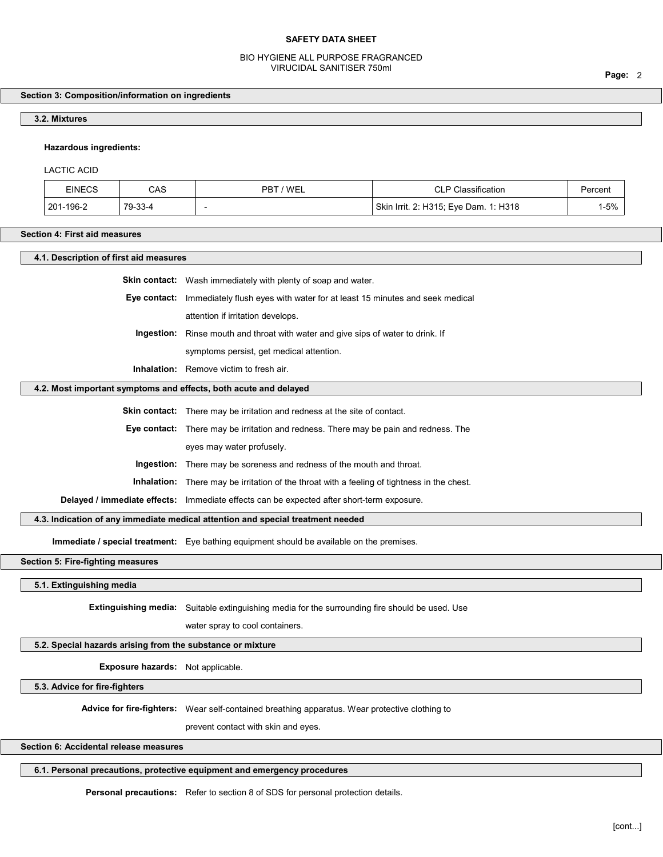### BIO HYGIENE ALL PURPOSE FRAGRANCED VIRUCIDAL SANITISER 750ml

# Section 3: Composition/information on ingredients

# 3.2. Mixtures

## Hazardous ingredients:

## LACTIC ACID

| <b>EINECS</b>     | CAS     | 'WEL<br>PBT | Classification<br>◡∟                          | Percent |
|-------------------|---------|-------------|-----------------------------------------------|---------|
| -196-2<br>$201 -$ | 79-33-4 |             | . 1: H318<br>Skin Irrit. 2: H315; Eye Dam. 1: | -5%     |

## Section 4: First aid measures

| 4.1. Description of first aid measures                                          |                                                                                                    |  |
|---------------------------------------------------------------------------------|----------------------------------------------------------------------------------------------------|--|
|                                                                                 | Skin contact: Wash immediately with plenty of soap and water.                                      |  |
|                                                                                 | Eye contact: Immediately flush eyes with water for at least 15 minutes and seek medical            |  |
|                                                                                 | attention if irritation develops.                                                                  |  |
|                                                                                 | Ingestion: Rinse mouth and throat with water and give sips of water to drink. If                   |  |
|                                                                                 | symptoms persist, get medical attention.                                                           |  |
|                                                                                 | Inhalation: Remove victim to fresh air.                                                            |  |
| 4.2. Most important symptoms and effects, both acute and delayed                |                                                                                                    |  |
|                                                                                 | <b>Skin contact:</b> There may be irritation and redness at the site of contact.                   |  |
|                                                                                 | Eye contact: There may be irritation and redness. There may be pain and redness. The               |  |
|                                                                                 | eyes may water profusely.                                                                          |  |
|                                                                                 | Ingestion: There may be soreness and redness of the mouth and throat.                              |  |
|                                                                                 | <b>Inhalation:</b> There may be irritation of the throat with a feeling of tightness in the chest. |  |
|                                                                                 | Delayed / immediate effects: Immediate effects can be expected after short-term exposure.          |  |
| 4.3. Indication of any immediate medical attention and special treatment needed |                                                                                                    |  |
|                                                                                 | Immediate / special treatment: Eye bathing equipment should be available on the premises.          |  |
| Section 5: Fire-fighting measures                                               |                                                                                                    |  |
| 5.1. Extinguishing media                                                        |                                                                                                    |  |
|                                                                                 | Extinguishing media: Suitable extinguishing media for the surrounding fire should be used. Use     |  |
|                                                                                 | water spray to cool containers.                                                                    |  |
|                                                                                 |                                                                                                    |  |
| 5.2. Special hazards arising from the substance or mixture                      |                                                                                                    |  |
| Exposure hazards: Not applicable.                                               |                                                                                                    |  |
| 5.3. Advice for fire-fighters                                                   |                                                                                                    |  |
|                                                                                 | Advice for fire-fighters: Wear self-contained breathing apparatus. Wear protective clothing to     |  |
|                                                                                 | prevent contact with skin and eyes.                                                                |  |
| Section 6: Accidental release measures                                          |                                                                                                    |  |

## 6.1. Personal precautions, protective equipment and emergency procedures

Personal precautions: Refer to section 8 of SDS for personal protection details.

Page: 2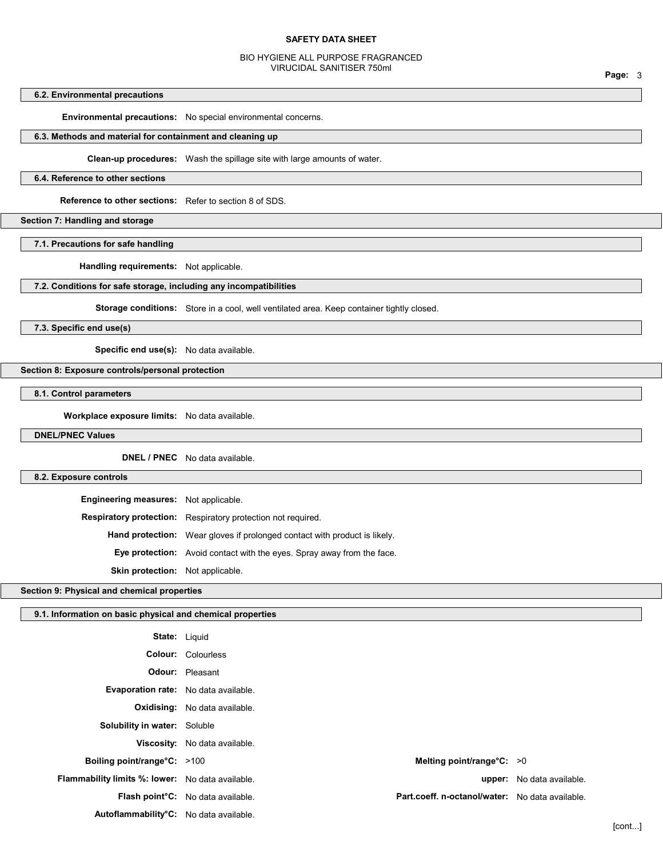#### BIO HYGIENE ALL PURPOSE FRAGRANCED VIRUCIDAL SANITISER 750ml

## 6.2. Environmental precautions

Environmental precautions: No special environmental concerns.

### 6.3. Methods and material for containment and cleaning up

Clean-up procedures: Wash the spillage site with large amounts of water.

### 6.4. Reference to other sections

Reference to other sections: Refer to section 8 of SDS.

### Section 7: Handling and storage

7.1. Precautions for safe handling

Handling requirements: Not applicable.

## 7.2. Conditions for safe storage, including any incompatibilities

Storage conditions: Store in a cool, well ventilated area. Keep container tightly closed.

7.3. Specific end use(s)

Specific end use(s): No data available.

#### Section 8: Exposure controls/personal protection

8.1. Control parameters

Workplace exposure limits: No data available.

## DNEL/PNEC Values

DNEL / PNEC No data available.

### 8.2. Exposure controls

| <b>Engineering measures:</b> Not applicable. |                                                                                  |
|----------------------------------------------|----------------------------------------------------------------------------------|
|                                              | <b>Respiratory protection:</b> Respiratory protection not required.              |
|                                              | <b>Hand protection:</b> Wear gloves if prolonged contact with product is likely. |
|                                              | <b>Eye protection:</b> Avoid contact with the eyes. Spray away from the face.    |
| <b>Skin protection:</b> Not applicable.      |                                                                                  |

### Section 9: Physical and chemical properties

### 9.1. Information on basic physical and chemical properties

| <b>State: Liquid</b>                                    |                                          |                                                 |                                  |
|---------------------------------------------------------|------------------------------------------|-------------------------------------------------|----------------------------------|
|                                                         | <b>Colour: Colourless</b>                |                                                 |                                  |
|                                                         | <b>Odour:</b> Pleasant                   |                                                 |                                  |
| <b>Evaporation rate:</b> No data available.             |                                          |                                                 |                                  |
|                                                         | <b>Oxidising:</b> No data available.     |                                                 |                                  |
| <b>Solubility in water:</b> Soluble                     |                                          |                                                 |                                  |
|                                                         | Viscosity: No data available.            |                                                 |                                  |
| Boiling point/range°C: >100                             |                                          | Melting point/range $°C: >0$                    |                                  |
| <b>Flammability limits %: lower:</b> No data available. |                                          |                                                 | <b>upper:</b> No data available. |
|                                                         | <b>Flash point C:</b> No data available. | Part.coeff. n-octanol/water: No data available. |                                  |
| Autoflammability <sup>°</sup> C: No data available.     |                                          |                                                 |                                  |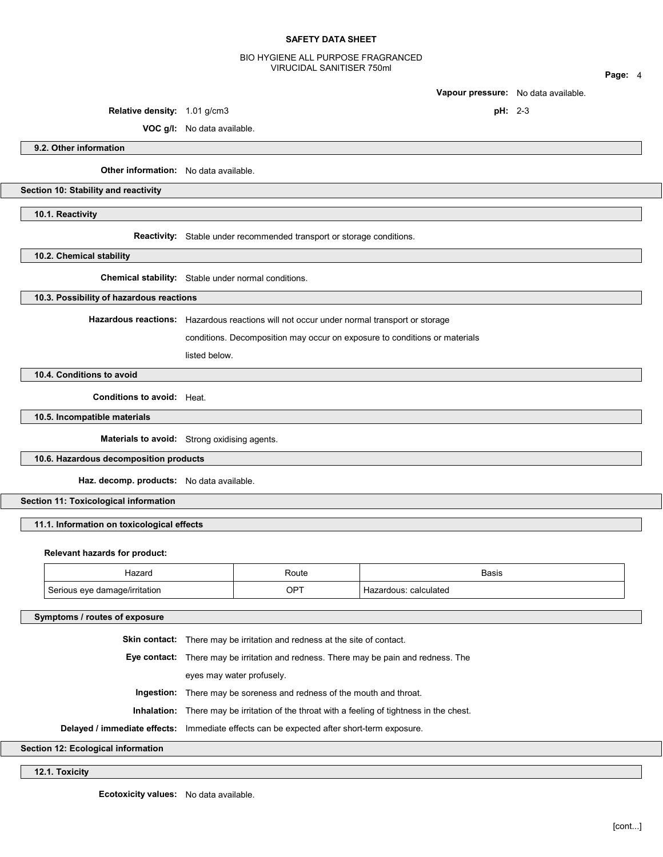### BIO HYGIENE ALL PURPOSE FRAGRANCED VIRUCIDAL SANITISER 750ml

Page: 4

Vapour pressure: No data available.

Relative density:  $1.01$  g/cm3 pH: 2-3

9.2. Other information

Other information: No data available.

VOC g/l: No data available.

Section 10: Stability and reactivity

10.1. Reactivity

Reactivity: Stable under recommended transport or storage conditions.

10.2. Chemical stability

Chemical stability: Stable under normal conditions.

10.3. Possibility of hazardous reactions

Hazardous reactions: Hazardous reactions will not occur under normal transport or storage

conditions. Decomposition may occur on exposure to conditions or materials

listed below.

10.4. Conditions to avoid

Conditions to avoid: Heat.

10.5. Incompatible materials

Materials to avoid: Strong oxidising agents.

10.6. Hazardous decomposition products

Haz. decomp. products: No data available.

Section 11: Toxicological information

11.1. Information on toxicological effects

#### Relevant hazards for product:

| Hazarc                                                  | Route                | <b>Basis</b>                 |
|---------------------------------------------------------|----------------------|------------------------------|
| <b>Coriour</b><br>`age/irritation<br>AVA<br>.12r<br>. . | OPT<br>$\sim$ $\sim$ | calculated<br>ardoue.<br>Td. |

#### Symptoms / routes of exposure

Skin contact: There may be irritation and redness at the site of contact.

Eye contact: There may be irritation and redness. There may be pain and redness. The

eyes may water profusely.

Ingestion: There may be soreness and redness of the mouth and throat.

Inhalation: There may be irritation of the throat with a feeling of tightness in the chest.

Delayed / immediate effects: Immediate effects can be expected after short-term exposure.

Section 12: Ecological information

12.1. Toxicity

Ecotoxicity values: No data available.